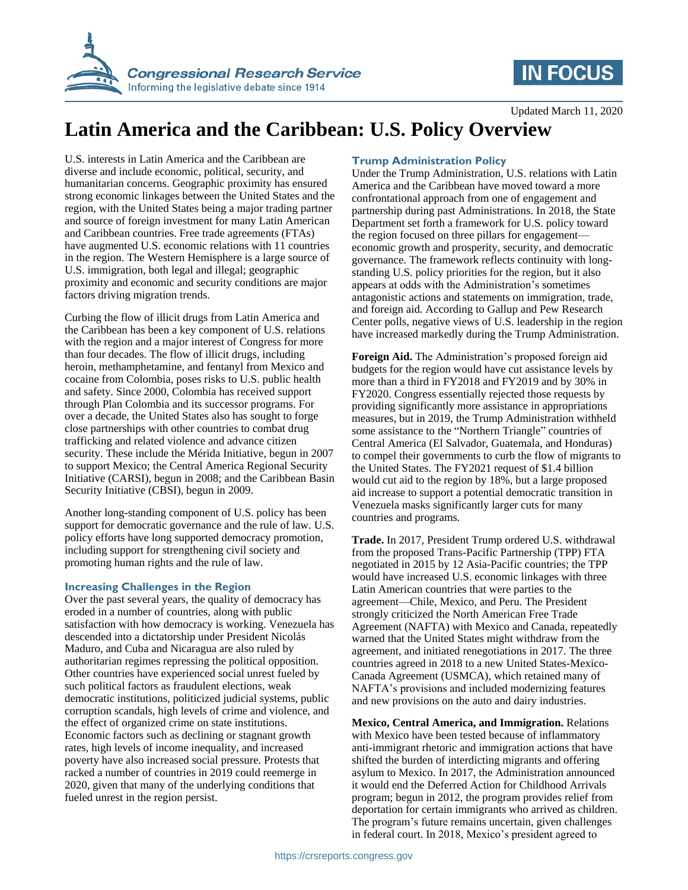

## **IN FOCUS**

Updated March 11, 2020

# **Latin America and the Caribbean: U.S. Policy Overview**

U.S. interests in Latin America and the Caribbean are diverse and include economic, political, security, and humanitarian concerns. Geographic proximity has ensured strong economic linkages between the United States and the region, with the United States being a major trading partner and source of foreign investment for many Latin American and Caribbean countries. Free trade agreements (FTAs) have augmented U.S. economic relations with 11 countries in the region. The Western Hemisphere is a large source of U.S. immigration, both legal and illegal; geographic proximity and economic and security conditions are major factors driving migration trends.

Curbing the flow of illicit drugs from Latin America and the Caribbean has been a key component of U.S. relations with the region and a major interest of Congress for more than four decades. The flow of illicit drugs, including heroin, methamphetamine, and fentanyl from Mexico and cocaine from Colombia, poses risks to U.S. public health and safety. Since 2000, Colombia has received support through Plan Colombia and its successor programs. For over a decade, the United States also has sought to forge close partnerships with other countries to combat drug trafficking and related violence and advance citizen security. These include the Mérida Initiative, begun in 2007 to support Mexico; the Central America Regional Security Initiative (CARSI), begun in 2008; and the Caribbean Basin Security Initiative (CBSI), begun in 2009.

Another long-standing component of U.S. policy has been support for democratic governance and the rule of law. U.S. policy efforts have long supported democracy promotion, including support for strengthening civil society and promoting human rights and the rule of law.

#### **Increasing Challenges in the Region**

Over the past several years, the quality of democracy has eroded in a number of countries, along with public satisfaction with how democracy is working. Venezuela has descended into a dictatorship under President Nicolás Maduro, and Cuba and Nicaragua are also ruled by authoritarian regimes repressing the political opposition. Other countries have experienced social unrest fueled by such political factors as fraudulent elections, weak democratic institutions, politicized judicial systems, public corruption scandals, high levels of crime and violence, and the effect of organized crime on state institutions. Economic factors such as declining or stagnant growth rates, high levels of income inequality, and increased poverty have also increased social pressure. Protests that racked a number of countries in 2019 could reemerge in 2020, given that many of the underlying conditions that fueled unrest in the region persist.

#### **Trump Administration Policy**

Under the Trump Administration, U.S. relations with Latin America and the Caribbean have moved toward a more confrontational approach from one of engagement and partnership during past Administrations. In 2018, the State Department set forth a framework for U.S. policy toward the region focused on three pillars for engagement economic growth and prosperity, security, and democratic governance. The framework reflects continuity with longstanding U.S. policy priorities for the region, but it also appears at odds with the Administration's sometimes antagonistic actions and statements on immigration, trade, and foreign aid. According to Gallup and Pew Research Center polls, negative views of U.S. leadership in the region have increased markedly during the Trump Administration.

**Foreign Aid.** The Administration's proposed foreign aid budgets for the region would have cut assistance levels by more than a third in FY2018 and FY2019 and by 30% in FY2020. Congress essentially rejected those requests by providing significantly more assistance in appropriations measures, but in 2019, the Trump Administration withheld some assistance to the "Northern Triangle" countries of Central America (El Salvador, Guatemala, and Honduras) to compel their governments to curb the flow of migrants to the United States. The FY2021 request of \$1.4 billion would cut aid to the region by 18%, but a large proposed aid increase to support a potential democratic transition in Venezuela masks significantly larger cuts for many countries and programs.

**Trade.** In 2017, President Trump ordered U.S. withdrawal from the proposed Trans-Pacific Partnership (TPP) FTA negotiated in 2015 by 12 Asia-Pacific countries; the TPP would have increased U.S. economic linkages with three Latin American countries that were parties to the agreement—Chile, Mexico, and Peru. The President strongly criticized the North American Free Trade Agreement (NAFTA) with Mexico and Canada, repeatedly warned that the United States might withdraw from the agreement, and initiated renegotiations in 2017. The three countries agreed in 2018 to a new United States-Mexico-Canada Agreement (USMCA), which retained many of NAFTA's provisions and included modernizing features and new provisions on the auto and dairy industries.

**Mexico, Central America, and Immigration.** Relations with Mexico have been tested because of inflammatory anti-immigrant rhetoric and immigration actions that have shifted the burden of interdicting migrants and offering asylum to Mexico. In 2017, the Administration announced it would end the Deferred Action for Childhood Arrivals program; begun in 2012, the program provides relief from deportation for certain immigrants who arrived as children. The program's future remains uncertain, given challenges in federal court. In 2018, Mexico's president agreed to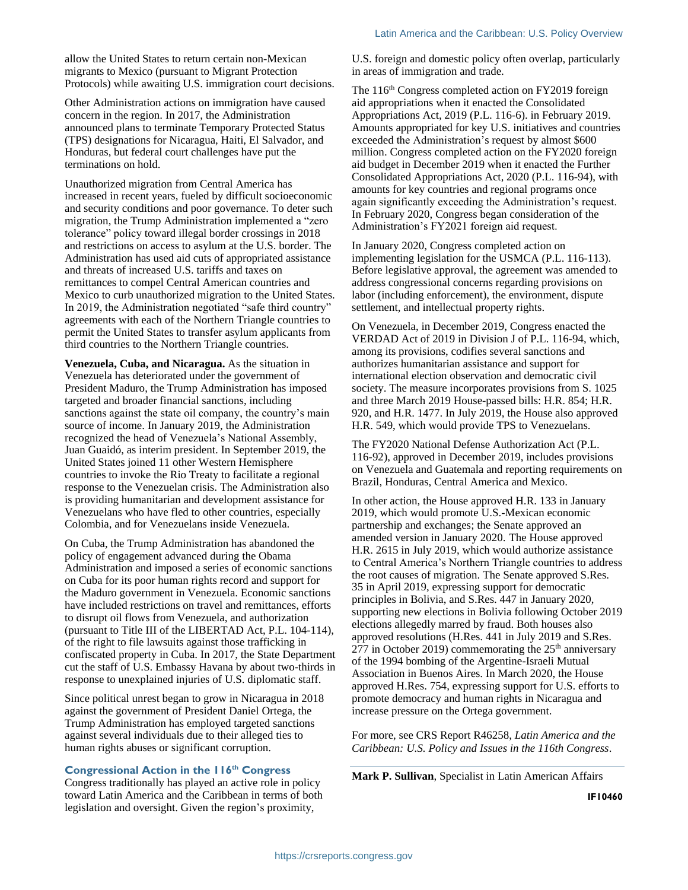allow the United States to return certain non-Mexican migrants to Mexico (pursuant to Migrant Protection Protocols) while awaiting U.S. immigration court decisions.

Other Administration actions on immigration have caused concern in the region. In 2017, the Administration announced plans to terminate Temporary Protected Status (TPS) designations for Nicaragua, Haiti, El Salvador, and Honduras, but federal court challenges have put the terminations on hold.

Unauthorized migration from Central America has increased in recent years, fueled by difficult socioeconomic and security conditions and poor governance. To deter such migration, the Trump Administration implemented a "zero tolerance" policy toward illegal border crossings in 2018 and restrictions on access to asylum at the U.S. border. The Administration has used aid cuts of appropriated assistance and threats of increased U.S. tariffs and taxes on remittances to compel Central American countries and Mexico to curb unauthorized migration to the United States. In 2019, the Administration negotiated "safe third country" agreements with each of the Northern Triangle countries to permit the United States to transfer asylum applicants from third countries to the Northern Triangle countries.

**Venezuela, Cuba, and Nicaragua.** As the situation in Venezuela has deteriorated under the government of President Maduro, the Trump Administration has imposed targeted and broader financial sanctions, including sanctions against the state oil company, the country's main source of income. In January 2019, the Administration recognized the head of Venezuela's National Assembly, Juan Guaidó, as interim president. In September 2019, the United States joined 11 other Western Hemisphere countries to invoke the Rio Treaty to facilitate a regional response to the Venezuelan crisis. The Administration also is providing humanitarian and development assistance for Venezuelans who have fled to other countries, especially Colombia, and for Venezuelans inside Venezuela.

On Cuba, the Trump Administration has abandoned the policy of engagement advanced during the Obama Administration and imposed a series of economic sanctions on Cuba for its poor human rights record and support for the Maduro government in Venezuela. Economic sanctions have included restrictions on travel and remittances, efforts to disrupt oil flows from Venezuela, and authorization (pursuant to Title III of the LIBERTAD Act, P.L. 104-114), of the right to file lawsuits against those trafficking in confiscated property in Cuba. In 2017, the State Department cut the staff of U.S. Embassy Havana by about two-thirds in response to unexplained injuries of U.S. diplomatic staff.

Since political unrest began to grow in Nicaragua in 2018 against the government of President Daniel Ortega, the Trump Administration has employed targeted sanctions against several individuals due to their alleged ties to human rights abuses or significant corruption.

#### **Congressional Action in the 116th Congress**

Congress traditionally has played an active role in policy toward Latin America and the Caribbean in terms of both legislation and oversight. Given the region's proximity,

U.S. foreign and domestic policy often overlap, particularly in areas of immigration and trade.

The 116<sup>th</sup> Congress completed action on FY2019 foreign aid appropriations when it enacted the Consolidated Appropriations Act, 2019 (P.L. 116-6). in February 2019. Amounts appropriated for key U.S. initiatives and countries exceeded the Administration's request by almost \$600 million. Congress completed action on the FY2020 foreign aid budget in December 2019 when it enacted the Further Consolidated Appropriations Act, 2020 (P.L. 116-94), with amounts for key countries and regional programs once again significantly exceeding the Administration's request. In February 2020, Congress began consideration of the Administration's FY2021 foreign aid request.

In January 2020, Congress completed action on implementing legislation for the USMCA (P.L. 116-113). Before legislative approval, the agreement was amended to address congressional concerns regarding provisions on labor (including enforcement), the environment, dispute settlement, and intellectual property rights.

On Venezuela, in December 2019, Congress enacted the VERDAD Act of 2019 in Division J of P.L. 116-94, which, among its provisions, codifies several sanctions and authorizes humanitarian assistance and support for international election observation and democratic civil society. The measure incorporates provisions from S. 1025 and three March 2019 House-passed bills: H.R. 854; H.R. 920, and H.R. 1477. In July 2019, the House also approved H.R. 549, which would provide TPS to Venezuelans.

The FY2020 National Defense Authorization Act (P.L. 116-92), approved in December 2019, includes provisions on Venezuela and Guatemala and reporting requirements on Brazil, Honduras, Central America and Mexico.

In other action, the House approved H.R. 133 in January 2019, which would promote U.S.-Mexican economic partnership and exchanges; the Senate approved an amended version in January 2020. The House approved H.R. 2615 in July 2019, which would authorize assistance to Central America's Northern Triangle countries to address the root causes of migration. The Senate approved S.Res. 35 in April 2019, expressing support for democratic principles in Bolivia, and S.Res. 447 in January 2020, supporting new elections in Bolivia following October 2019 elections allegedly marred by fraud. Both houses also approved resolutions (H.Res. 441 in July 2019 and S.Res. 277 in October 2019) commemorating the  $25<sup>th</sup>$  anniversary of the 1994 bombing of the Argentine-Israeli Mutual Association in Buenos Aires. In March 2020, the House approved H.Res. 754, expressing support for U.S. efforts to promote democracy and human rights in Nicaragua and increase pressure on the Ortega government.

For more, see CRS Report R46258, *Latin America and the Caribbean: U.S. Policy and Issues in the 116th Congress*.

**Mark P. Sullivan**, Specialist in Latin American Affairs